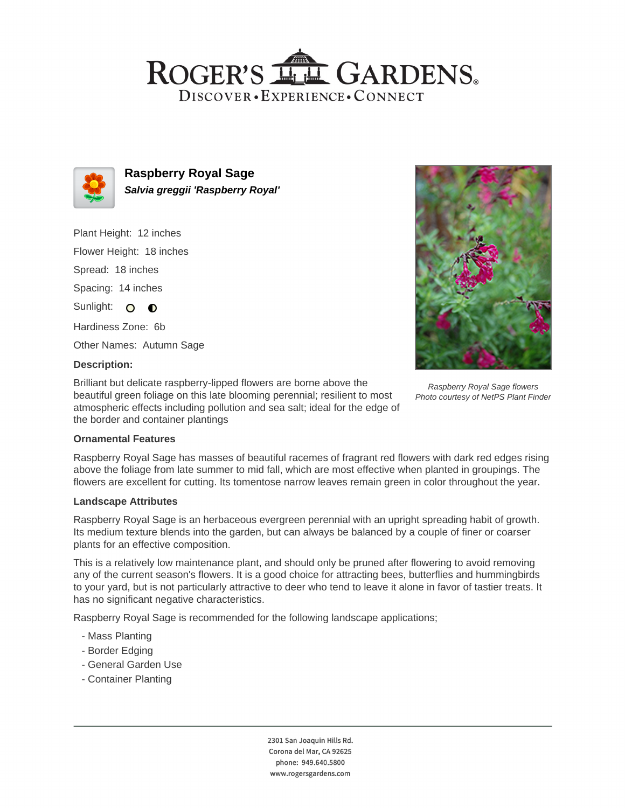## ROGER'S LL GARDENS. DISCOVER · EXPERIENCE · CONNECT



**Raspberry Royal Sage Salvia greggii 'Raspberry Royal'**

Plant Height: 12 inches Flower Height: 18 inches

Spread: 18 inches

Spacing: 14 inches

Sunlight: O O

Hardiness Zone: 6b

Other Names: Autumn Sage

## **Description:**

Brilliant but delicate raspberry-lipped flowers are borne above the beautiful green foliage on this late blooming perennial; resilient to most atmospheric effects including pollution and sea salt; ideal for the edge of the border and container plantings



Raspberry Royal Sage flowers Photo courtesy of NetPS Plant Finder

## **Ornamental Features**

Raspberry Royal Sage has masses of beautiful racemes of fragrant red flowers with dark red edges rising above the foliage from late summer to mid fall, which are most effective when planted in groupings. The flowers are excellent for cutting. Its tomentose narrow leaves remain green in color throughout the year.

#### **Landscape Attributes**

Raspberry Royal Sage is an herbaceous evergreen perennial with an upright spreading habit of growth. Its medium texture blends into the garden, but can always be balanced by a couple of finer or coarser plants for an effective composition.

This is a relatively low maintenance plant, and should only be pruned after flowering to avoid removing any of the current season's flowers. It is a good choice for attracting bees, butterflies and hummingbirds to your yard, but is not particularly attractive to deer who tend to leave it alone in favor of tastier treats. It has no significant negative characteristics.

Raspberry Royal Sage is recommended for the following landscape applications;

- Mass Planting
- Border Edging
- General Garden Use
- Container Planting

2301 San Joaquin Hills Rd. Corona del Mar, CA 92625 phone: 949.640.5800 www.rogersgardens.com